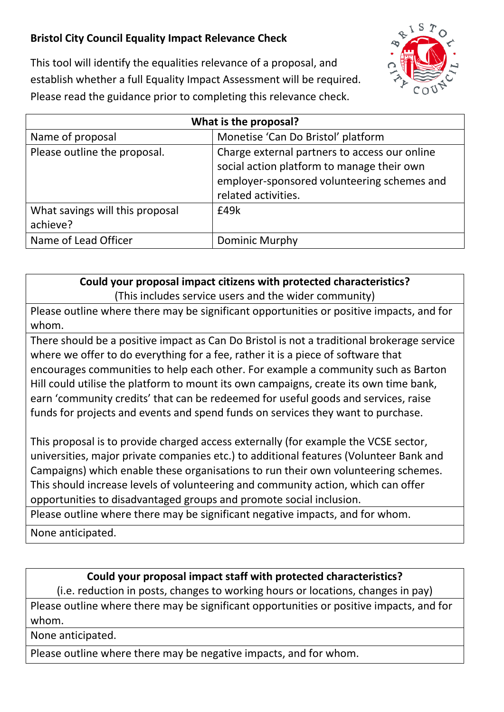## **Bristol City Council Equality Impact Relevance Check**



This tool will identify the equalities relevance of a proposal, and establish whether a full Equality Impact Assessment will be required. Please read the guidance prior to completing this relevance check.

| What is the proposal?                       |                                                                                                                                                                   |
|---------------------------------------------|-------------------------------------------------------------------------------------------------------------------------------------------------------------------|
| Name of proposal                            | Monetise 'Can Do Bristol' platform                                                                                                                                |
| Please outline the proposal.                | Charge external partners to access our online<br>social action platform to manage their own<br>employer-sponsored volunteering schemes and<br>related activities. |
| What savings will this proposal<br>achieve? | £49k                                                                                                                                                              |
| Name of Lead Officer                        | Dominic Murphy                                                                                                                                                    |

## **Could your proposal impact citizens with protected characteristics?**

(This includes service users and the wider community)

Please outline where there may be significant opportunities or positive impacts, and for whom.

There should be a positive impact as Can Do Bristol is not a traditional brokerage service where we offer to do everything for a fee, rather it is a piece of software that encourages communities to help each other. For example a community such as Barton Hill could utilise the platform to mount its own campaigns, create its own time bank, earn 'community credits' that can be redeemed for useful goods and services, raise funds for projects and events and spend funds on services they want to purchase.

This proposal is to provide charged access externally (for example the VCSE sector, universities, major private companies etc.) to additional features (Volunteer Bank and Campaigns) which enable these organisations to run their own volunteering schemes. This should increase levels of volunteering and community action, which can offer opportunities to disadvantaged groups and promote social inclusion.

Please outline where there may be significant negative impacts, and for whom.

None anticipated.

## **Could your proposal impact staff with protected characteristics?**

(i.e. reduction in posts, changes to working hours or locations, changes in pay)

Please outline where there may be significant opportunities or positive impacts, and for whom.

None anticipated.

Please outline where there may be negative impacts, and for whom.